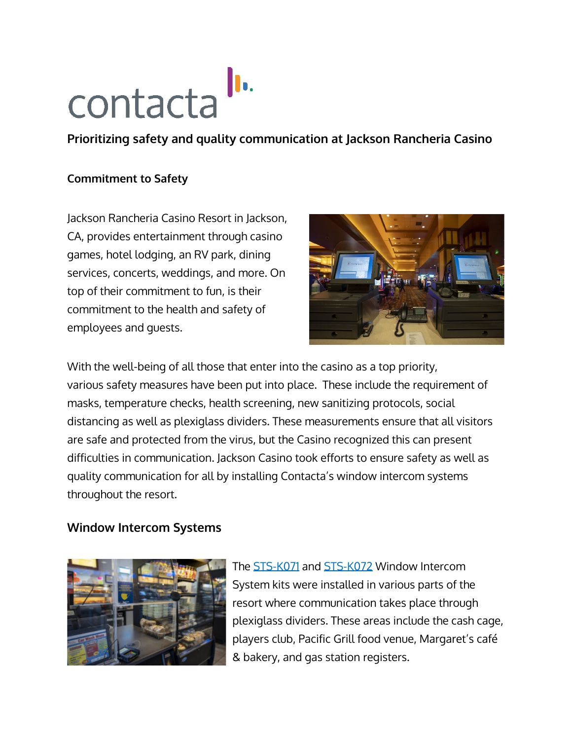

**Prioritizing safety and quality communication at Jackson Rancheria Casino**

## **Commitment to Safety**

Jackson Rancheria Casino Resort in Jackson, CA, provides entertainment through casino games, hotel lodging, an RV park, dining services, concerts, weddings, and more. On top of their commitment to fun, is their commitment to the health and safety of employees and guests.



With the well-being of all those that enter into the casino as a top priority, various safety measures have been put into place. These include the requirement of masks, temperature checks, health screening, new sanitizing protocols, social distancing as well as plexiglass dividers. These measurements ensure that all visitors are safe and protected from the virus, but the Casino recognized this can present difficulties in communication. Jackson Casino took efforts to ensure safety as well as quality communication for all by installing Contacta's window intercom systems throughout the resort.

## **Window Intercom Systems**



The [STS-K071](https://contactainc.com/products/window-intercom-systems/speaker-and-microphone-pod-system-sts-k071/) and [STS-K072](https://contactainc.com/products/window-intercom-systems/speaker-pod-and-screen-mounted-microphone-system-sts-k072/) Window Intercom System kits were installed in various parts of the resort where communication takes place through plexiglass dividers. These areas include the cash cage, players club, Pacific Grill food venue, Margaret's café & bakery, and gas station registers.